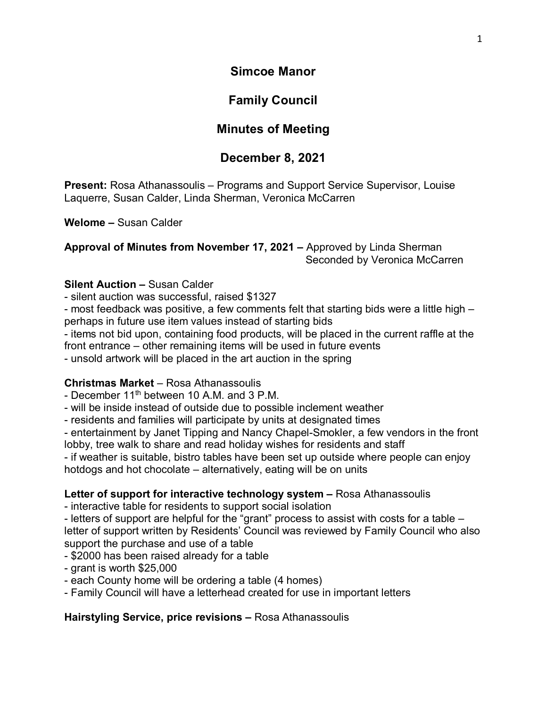**Simcoe Manor**

## **Family Council**

# **Minutes of Meeting**

## **December 8, 2021**

**Present:** Rosa Athanassoulis – Programs and Support Service Supervisor, Louise Laquerre, Susan Calder, Linda Sherman, Veronica McCarren

**Welome –** Susan Calder

**Approval of Minutes from November 17, 2021 –** Approved by Linda Sherman Seconded by Veronica McCarren

### **Silent Auction –** Susan Calder

- silent auction was successful, raised \$1327

- most feedback was positive, a few comments felt that starting bids were a little high – perhaps in future use item values instead of starting bids

- items not bid upon, containing food products, will be placed in the current raffle at the front entrance – other remaining items will be used in future events

- unsold artwork will be placed in the art auction in the spring

### **Christmas Market** – Rosa Athanassoulis

- December  $11<sup>th</sup>$  between 10 A.M. and 3 P.M.

- will be inside instead of outside due to possible inclement weather

- residents and families will participate by units at designated times

- entertainment by Janet Tipping and Nancy Chapel-Smokler, a few vendors in the front lobby, tree walk to share and read holiday wishes for residents and staff

- if weather is suitable, bistro tables have been set up outside where people can enjoy hotdogs and hot chocolate – alternatively, eating will be on units

### **Letter of support for interactive technology system –** Rosa Athanassoulis

- interactive table for residents to support social isolation

- letters of support are helpful for the "grant" process to assist with costs for a table – letter of support written by Residents' Council was reviewed by Family Council who also support the purchase and use of a table

- \$2000 has been raised already for a table

- grant is worth \$25,000

- each County home will be ordering a table (4 homes)

- Family Council will have a letterhead created for use in important letters

**Hairstyling Service, price revisions –** Rosa Athanassoulis